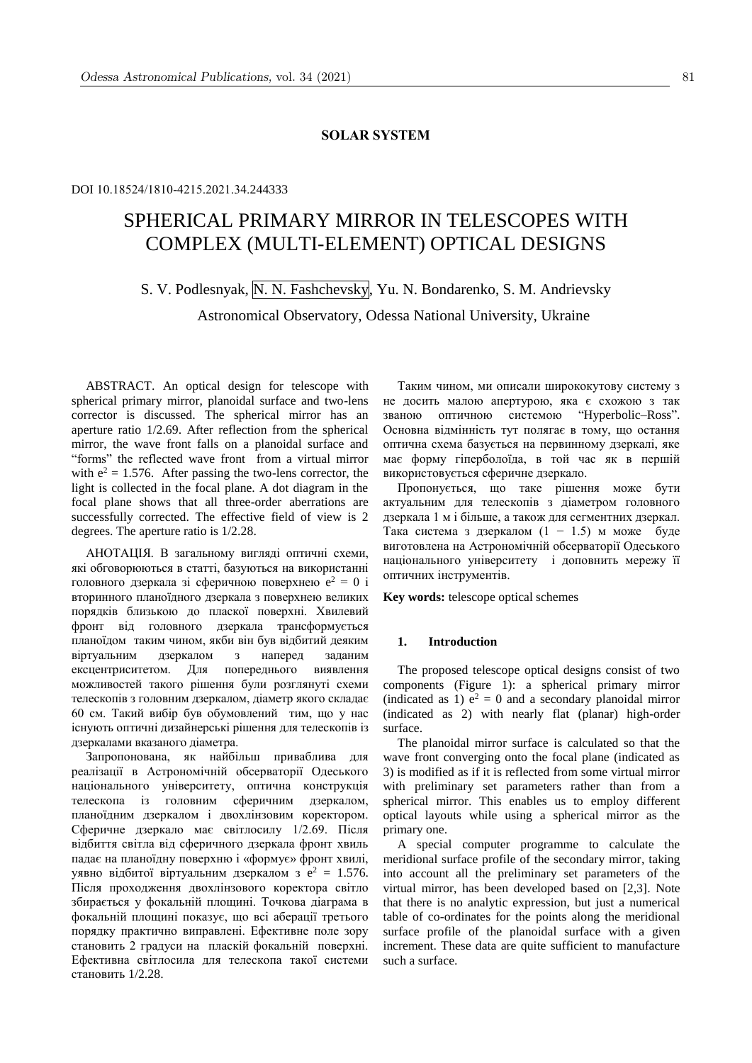# **SOLAR SYSTEM**

## DOI 10.18524/1810-4215.2021.34.244333

# SPHERICAL PRIMARY MIRROR IN TELESCOPES WITH COMPLEX (MULTI-ELEMENT) OPTICAL DESIGNS

S. V. Podlesnyak, N. N. Fashchevsky, Yu. N. Bondarenko, S. M. Andrievsky Astronomical Observatory, Odessa National University, Ukraine

ABSTRACT. An optical design for telescope with spherical primary mirror, planoidal surface and two-lens corrector is discussed. The spherical mirror has an aperture ratio 1/2.69. After reflection from the spherical mirror, the wave front falls on a planoidal surface and "forms" the reflected wave front from a virtual mirror with  $e^2 = 1.576$ . After passing the two-lens corrector, the light is collected in the focal plane. A dot diagram in the focal plane shows that all three-order aberrations are successfully corrected. The effective field of view is 2 degrees. The aperture ratio is 1/2.28.

АНОТАЦІЯ. В загальному вигляді оптичні схеми, які обговорюються в статті, базуються на використанні головного дзеркала зі сферичною поверхнею  $e^2 = 0$  і вторинного планоїдного дзеркала з поверхнею великих порядків близькою до пласкої поверхні. Хвилевий фронт від головного дзеркала трансформується планоїдом таким чином, якби він був відбитий деяким віртуальним дзеркалом з наперед заданим ексцентриситетом. Для попереднього виявлення можливостей такого рішення були розглянуті схеми телескопів з головним дзеркалом, діаметр якого складає 60 см. Такий вибір був обумовлений тим, що у нас існують оптичні дизайнерські рішення для телескопів із дзеркалами вказаного діаметра.

Запропонована, як найбільш приваблива для реалізації в Астрономічній обсерваторії Одеського національного університету, оптична конструкція телескопа із головним сферичним дзеркалом, планоїдним дзеркалом і двохлінзовим коректором. Сферичне дзеркало має світлосилу 1/2.69. Після відбиття світла від сферичного дзеркала фронт хвиль падає на планоїдну поверхню і «формує» фронт хвилі, уявно відбитої віртуальним дзеркалом з е<sup>2</sup> = 1.576. Після проходження двохлінзового коректора світло збирається у фокальній площині. Точкова діаграма в фокальній площині показує, що всі аберації третього порядку практично виправлені. Ефективне поле зору становить 2 градуси на пласкій фокальній поверхні. Ефективна світлосила для телескопа такої системи становить 1/2.28.

Таким чином, ми описали ширококутову систему з не досить малою апертурою, яка є схожою з так званою оптичною системою "Hyperbolic–Ross". Основна відмінність тут полягає в тому, що остання оптична схема базується на первинному дзеркалі, яке має форму гіперболоїда, в той час як в першій використовується сферичне дзеркало.

Пропонується, що таке рішення може бути актуальним для телескопів з діаметром головного дзеркала 1 м і більше, а також для сегментних дзеркал. Така система з дзеркалом (1 − 1.5) м може буде виготовлена на Астрономічній обсерваторії Одеського національного університету і доповнить мережу її оптичних інструментів.

**Key words:** telescope optical schemes

## **1. Introduction**

The proposed telescope optical designs consist of two components (Figure 1): a spherical primary mirror (indicated as 1)  $e^2 = 0$  and a secondary planoidal mirror (indicated as 2) with nearly flat (planar) high-order surface.

The planoidal mirror surface is calculated so that the wave front converging onto the focal plane (indicated as 3) is modified as if it is reflected from some virtual mirror with preliminary set parameters rather than from a spherical mirror. This enables us to employ different optical layouts while using a spherical mirror as the primary one.

A special computer programme to calculate the meridional surface profile of the secondary mirror, taking into account all the preliminary set parameters of the virtual mirror, has been developed based on [2,3]. Note that there is no analytic expression, but just a numerical table of co-ordinates for the points along the meridional surface profile of the planoidal surface with a given increment. These data are quite sufficient to manufacture such a surface.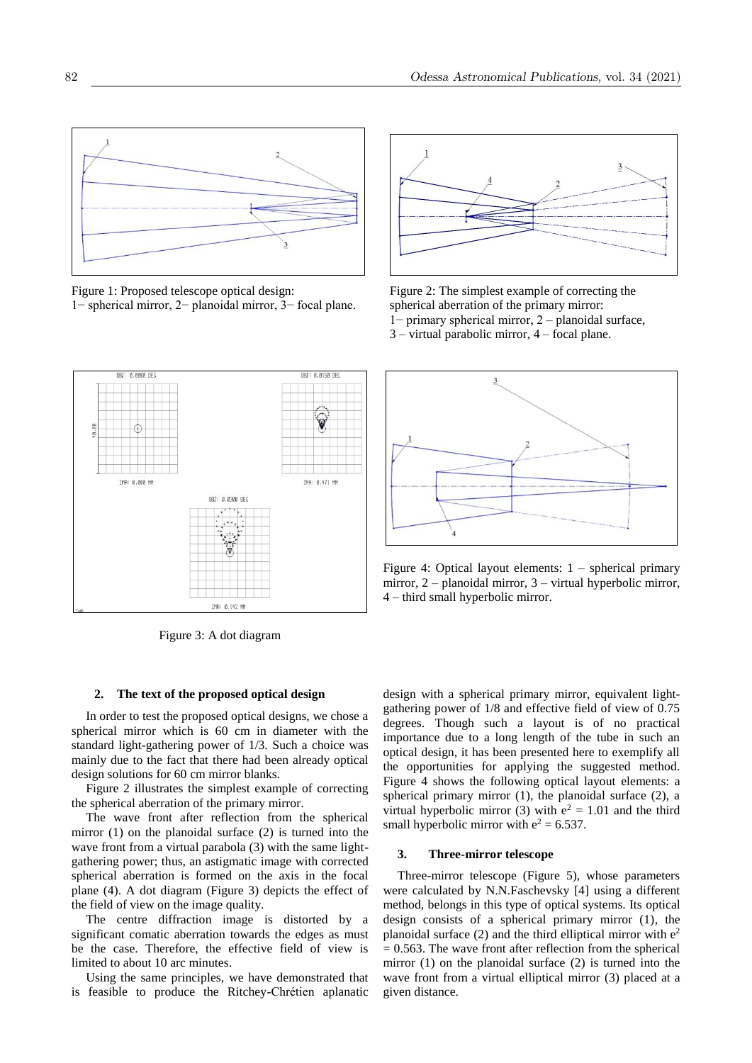

Figure 1: Proposed telescope optical design: Figure 2: The simplest example of correcting the 1− spherical mirror, 2− planoidal mirror, 3− focal plane. spherical aberration of the primary mirror:



1− primary spherical mirror, 2 – planoidal surface, 3 – virtual parabolic mirror, 4 – focal plane.



Figure 3: A dot diagram

## **2. The text of the proposed optical design**

In order to test the proposed optical designs, we chose a spherical mirror which is 60 cm in diameter with the standard light-gathering power of 1/3. Such a choice was mainly due to the fact that there had been already optical design solutions for 60 cm mirror blanks.

Figure 2 illustrates the simplest example of correcting the spherical aberration of the primary mirror.

The wave front after reflection from the spherical mirror (1) on the planoidal surface (2) is turned into the wave front from a virtual parabola (3) with the same lightgathering power; thus, an astigmatic image with corrected spherical aberration is formed on the axis in the focal plane (4). A dot diagram (Figure 3) depicts the effect of the field of view on the image quality.

The centre diffraction image is distorted by a significant comatic aberration towards the edges as must be the case. Therefore, the effective field of view is limited to about 10 arc minutes.

Using the same principles, we have demonstrated that is feasible to produce the Ritchey-Chrétien aplanatic



Figure 4: Optical layout elements: 1 – spherical primary mirror, 2 – planoidal mirror, 3 – virtual hyperbolic mirror, 4 – third small hyperbolic mirror.

design with a spherical primary mirror, equivalent lightgathering power of 1/8 and effective field of view of 0.75 degrees. Though such a layout is of no practical importance due to a long length of the tube in such an optical design, it has been presented here to exemplify all the opportunities for applying the suggested method. Figure 4 shows the following optical layout elements: a spherical primary mirror (1), the planoidal surface (2), a virtual hyperbolic mirror (3) with  $e^2 = 1.01$  and the third small hyperbolic mirror with  $e^2 = 6.537$ .

## **3. Three-mirror telescope**

Three-mirror telescope (Figure 5), whose parameters were calculated by N.N.Faschevsky [4] using a different method, belongs in this type of optical systems. Its optical design consists of a spherical primary mirror (1), the planoidal surface  $(2)$  and the third elliptical mirror with  $e<sup>2</sup>$  $= 0.563$ . The wave front after reflection from the spherical mirror (1) on the planoidal surface (2) is turned into the wave front from a virtual elliptical mirror (3) placed at a given distance.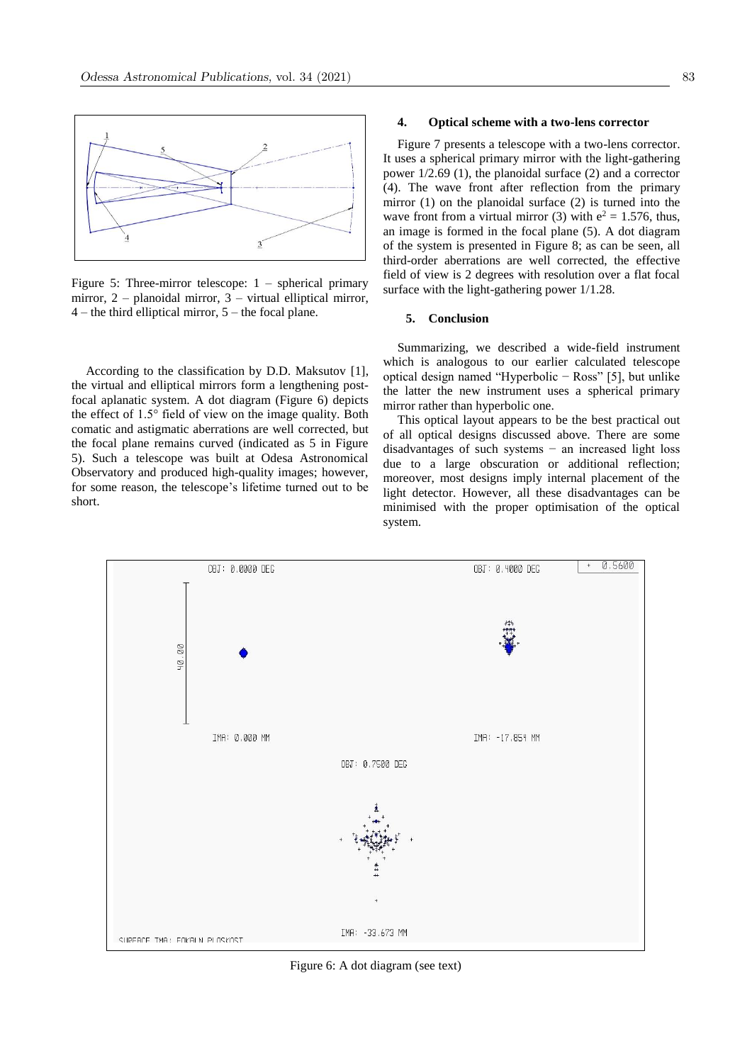

Figure 5: Three-mirror telescope: 1 – spherical primary mirror, 2 – planoidal mirror, 3 – virtual elliptical mirror,  $4$  – the third elliptical mirror,  $5$  – the focal plane.

According to the classification by D.D. Maksutov [1], the virtual and elliptical mirrors form a lengthening postfocal aplanatic system. A dot diagram (Figure 6) depicts the effect of 1.5° field of view on the image quality. Both comatic and astigmatic aberrations are well corrected, but the focal plane remains curved (indicated as 5 in Figure 5). Such a telescope was built at Odesa Astronomical Observatory and produced high-quality images; however, for some reason, the telescope's lifetime turned out to be short.

#### **4. Optical scheme with a two-lens corrector**

Figure 7 presents a telescope with a two-lens corrector. It uses a spherical primary mirror with the light-gathering power 1/2.69 (1), the planoidal surface (2) and a corrector (4). The wave front after reflection from the primary mirror (1) on the planoidal surface (2) is turned into the wave front from a virtual mirror (3) with  $e^2 = 1.576$ , thus, an image is formed in the focal plane (5). A dot diagram of the system is presented in Figure 8; as can be seen, all third-order aberrations are well corrected, the effective field of view is 2 degrees with resolution over a flat focal surface with the light-gathering power 1/1.28.

## **5. Conclusion**

Summarizing, we described a wide-field instrument which is analogous to our earlier calculated telescope optical design named "Hyperbolic − Ross" [5], but unlike the latter the new instrument uses a spherical primary mirror rather than hyperbolic one.

This optical layout appears to be the best practical out of all optical designs discussed above. There are some disadvantages of such systems − an increased light loss due to a large obscuration or additional reflection; moreover, most designs imply internal placement of the light detector. However, all these disadvantages can be minimised with the proper optimisation of the optical system.



Figure 6: A dot diagram (see text)